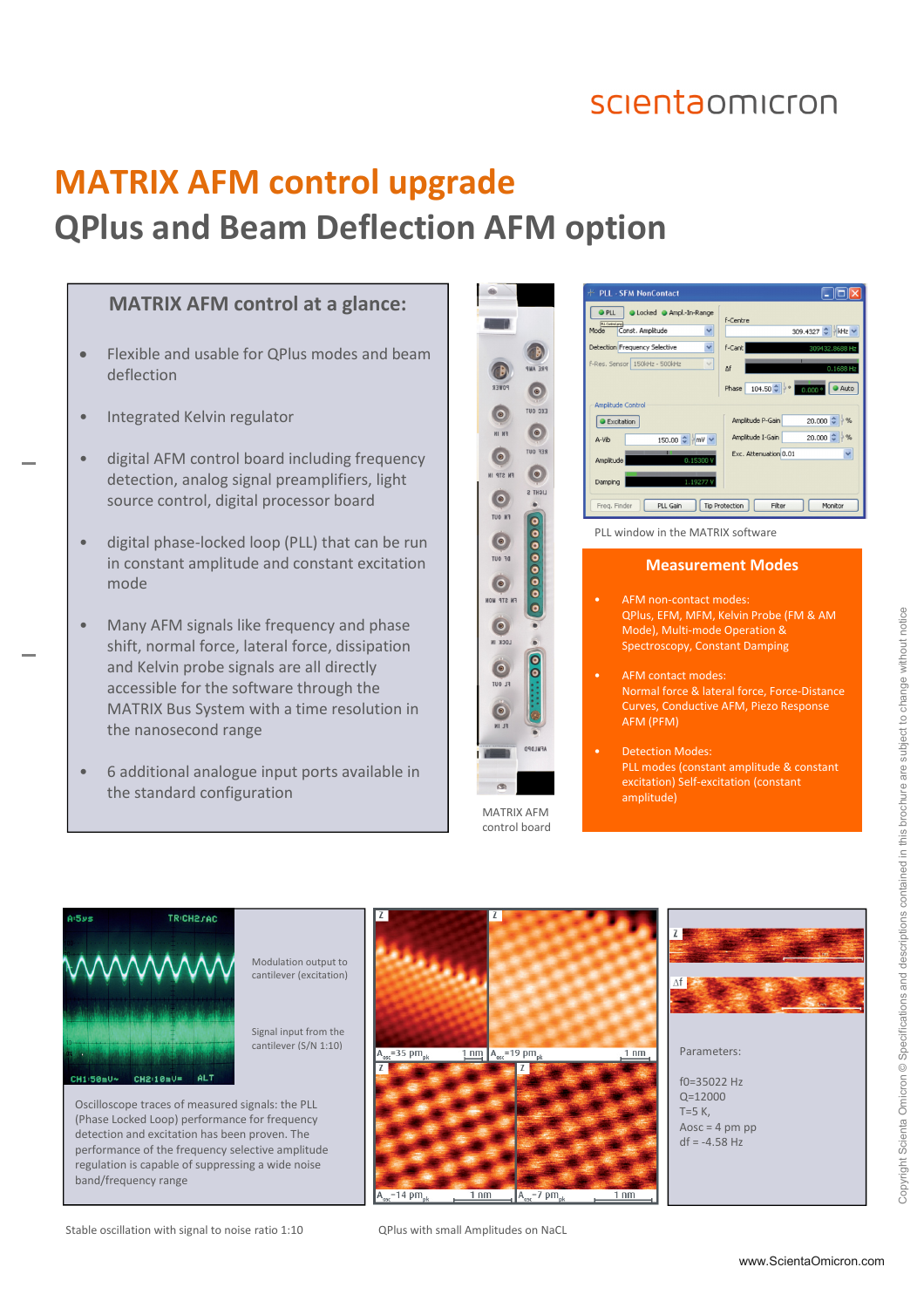### scientaomicron

# **MATRIX AFM control upgrade QPlus and Beam Deflection AFM option**

#### **MATRIX AFM control at a glance:**

- Flexible and usable for QPlus modes and beam deflection
- Integrated Kelvin regulator
- digital AFM control board including frequency detection, analog signal preamplifiers, light source control, digital processor board
- digital phase-locked loop (PLL) that can be run in constant amplitude and constant excitation mode
- Many AFM signals like frequency and phase shift, normal force, lateral force, dissipation and Kelvin probe signals are all directly accessible for the software through the MATRIX Bus System with a time resolution in the nanosecond range
- 6 additional analogue input ports available in the standard configuration



MATRIX AFM control board



PLL window in the MATRIX software

#### **Measurement Modes**

AFM non-contact modes: QPlus, EFM, MFM, Kelvin Probe (FM & AM Mode), Multi-mode Operation & Spectroscopy, Constant Damping • AFM contact modes: Normal force & lateral force, Force-Distance Curves, Conductive AFM, Piezo Response AFM (PFM)

 $\frac{1}{1}$  nm

Detection Modes: PLL modes (constant amplitude & constant excitation) Self-excitation (constant amplitude)



 $= 14 \text{ pm}$ 

 $1 \text{ nm}$ 

 $A_{\text{osc}} = 7 \text{ pm}_{\text{at}}$